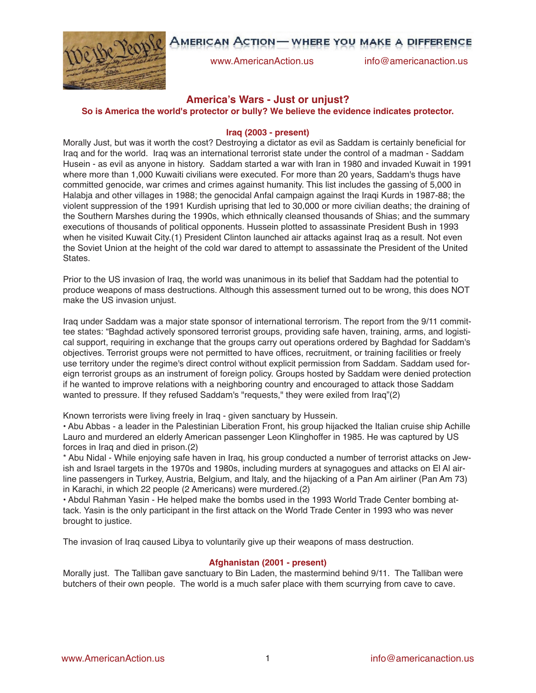# AMERICAN ACTION — WHERE YOU MAKE A DIFFERENCE



www.AmericanAction.us info@americanaction.us

# **America's Wars - Just or unjust?**

**So is America the world's protector or bully? We believe the evidence indicates protector.**

# **Iraq (2003 - present)**

Morally Just, but was it worth the cost? Destroying a dictator as evil as Saddam is certainly beneficial for Iraq and for the world. Iraq was an international terrorist state under the control of a madman - Saddam Husein - as evil as anyone in history. Saddam started a war with Iran in 1980 and invaded Kuwait in 1991 where more than 1,000 Kuwaiti civilians were executed. For more than 20 years, Saddam's thugs have committed genocide, war crimes and crimes against humanity. This list includes the gassing of 5,000 in Halabja and other villages in 1988; the genocidal Anfal campaign against the Iraqi Kurds in 1987-88; the violent suppression of the 1991 Kurdish uprising that led to 30,000 or more civilian deaths; the draining of the Southern Marshes during the 1990s, which ethnically cleansed thousands of Shias; and the summary executions of thousands of political opponents. Hussein plotted to assassinate President Bush in 1993 when he visited Kuwait City.(1) President Clinton launched air attacks against Iraq as a result. Not even the Soviet Union at the height of the cold war dared to attempt to assassinate the President of the United States.

Prior to the US invasion of Iraq, the world was unanimous in its belief that Saddam had the potential to produce weapons of mass destructions. Although this assessment turned out to be wrong, this does NOT make the US invasion unjust.

Iraq under Saddam was a major state sponsor of international terrorism. The report from the 9/11 committee states: "Baghdad actively sponsored terrorist groups, providing safe haven, training, arms, and logistical support, requiring in exchange that the groups carry out operations ordered by Baghdad for Saddam's objectives. Terrorist groups were not permitted to have offices, recruitment, or training facilities or freely use territory under the regime's direct control without explicit permission from Saddam. Saddam used foreign terrorist groups as an instrument of foreign policy. Groups hosted by Saddam were denied protection if he wanted to improve relations with a neighboring country and encouraged to attack those Saddam wanted to pressure. If they refused Saddam's "requests," they were exiled from Iraq"(2)

Known terrorists were living freely in Iraq - given sanctuary by Hussein.

• Abu Abbas - a leader in the Palestinian Liberation Front, his group hijacked the Italian cruise ship Achille Lauro and murdered an elderly American passenger Leon Klinghoffer in 1985. He was captured by US forces in Iraq and died in prison.(2)

\* Abu Nidal - While enjoying safe haven in Iraq, his group conducted a number of terrorist attacks on Jewish and Israel targets in the 1970s and 1980s, including murders at synagogues and attacks on El Al airline passengers in Turkey, Austria, Belgium, and Italy, and the hijacking of a Pan Am airliner (Pan Am 73) in Karachi, in which 22 people (2 Americans) were murdered.(2)

• Abdul Rahman Yasin - He helped make the bombs used in the 1993 World Trade Center bombing attack. Yasin is the only participant in the first attack on the World Trade Center in 1993 who was never brought to justice.

The invasion of Iraq caused Libya to voluntarily give up their weapons of mass destruction.

# **Afghanistan (2001 - present)**

Morally just. The Talliban gave sanctuary to Bin Laden, the mastermind behind 9/11. The Talliban were butchers of their own people. The world is a much safer place with them scurrying from cave to cave.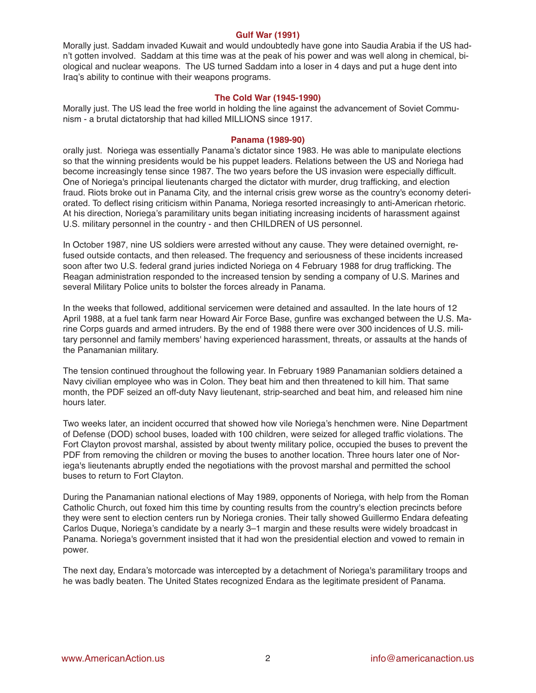#### **Gulf War (1991)**

Morally just. Saddam invaded Kuwait and would undoubtedly have gone into Saudia Arabia if the US hadn't gotten involved. Saddam at this time was at the peak of his power and was well along in chemical, biological and nuclear weapons. The US turned Saddam into a loser in 4 days and put a huge dent into Iraq's ability to continue with their weapons programs.

# **The Cold War (1945-1990)**

Morally just. The US lead the free world in holding the line against the advancement of Soviet Communism - a brutal dictatorship that had killed MILLIONS since 1917.

#### **Panama (1989-90)**

orally just. Noriega was essentially Panama's dictator since 1983. He was able to manipulate elections so that the winning presidents would be his puppet leaders. Relations between the US and Noriega had become increasingly tense since 1987. The two years before the US invasion were especially difficult. One of Noriega's principal lieutenants charged the dictator with murder, drug trafficking, and election fraud. Riots broke out in Panama City, and the internal crisis grew worse as the country's economy deteriorated. To deflect rising criticism within Panama, Noriega resorted increasingly to anti-American rhetoric. At his direction, Noriega's paramilitary units began initiating increasing incidents of harassment against U.S. military personnel in the country - and then CHILDREN of US personnel.

In October 1987, nine US soldiers were arrested without any cause. They were detained overnight, refused outside contacts, and then released. The frequency and seriousness of these incidents increased soon after two U.S. federal grand juries indicted Noriega on 4 February 1988 for drug trafficking. The Reagan administration responded to the increased tension by sending a company of U.S. Marines and several Military Police units to bolster the forces already in Panama.

In the weeks that followed, additional servicemen were detained and assaulted. In the late hours of 12 April 1988, at a fuel tank farm near Howard Air Force Base, gunfire was exchanged between the U.S. Marine Corps guards and armed intruders. By the end of 1988 there were over 300 incidences of U.S. military personnel and family members' having experienced harassment, threats, or assaults at the hands of the Panamanian military.

The tension continued throughout the following year. In February 1989 Panamanian soldiers detained a Navy civilian employee who was in Colon. They beat him and then threatened to kill him. That same month, the PDF seized an off-duty Navy lieutenant, strip-searched and beat him, and released him nine hours later.

Two weeks later, an incident occurred that showed how vile Noriega's henchmen were. Nine Department of Defense (DOD) school buses, loaded with 100 children, were seized for alleged traffic violations. The Fort Clayton provost marshal, assisted by about twenty military police, occupied the buses to prevent the PDF from removing the children or moving the buses to another location. Three hours later one of Noriega's lieutenants abruptly ended the negotiations with the provost marshal and permitted the school buses to return to Fort Clayton.

During the Panamanian national elections of May 1989, opponents of Noriega, with help from the Roman Catholic Church, out foxed him this time by counting results from the country's election precincts before they were sent to election centers run by Noriega cronies. Their tally showed Guillermo Endara defeating Carlos Duque, Noriega's candidate by a nearly 3–1 margin and these results were widely broadcast in Panama. Noriega's government insisted that it had won the presidential election and vowed to remain in power.

The next day, Endara's motorcade was intercepted by a detachment of Noriega's paramilitary troops and he was badly beaten. The United States recognized Endara as the legitimate president of Panama.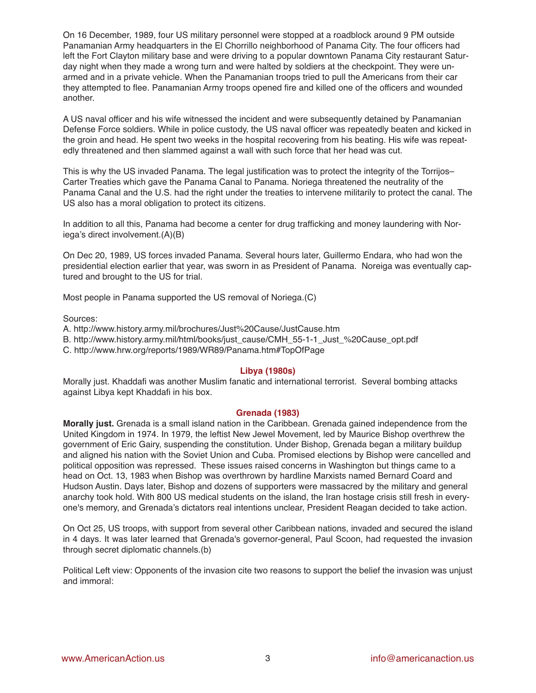On 16 December, 1989, four US military personnel were stopped at a roadblock around 9 PM outside Panamanian Army headquarters in the El Chorrillo neighborhood of Panama City. The four officers had left the Fort Clayton military base and were driving to a popular downtown Panama City restaurant Saturday night when they made a wrong turn and were halted by soldiers at the checkpoint. They were unarmed and in a private vehicle. When the Panamanian troops tried to pull the Americans from their car they attempted to flee. Panamanian Army troops opened fire and killed one of the officers and wounded another.

A US naval officer and his wife witnessed the incident and were subsequently detained by Panamanian Defense Force soldiers. While in police custody, the US naval officer was repeatedly beaten and kicked in the groin and head. He spent two weeks in the hospital recovering from his beating. His wife was repeatedly threatened and then slammed against a wall with such force that her head was cut.

This is why the US invaded Panama. The legal justification was to protect the integrity of the Torrijos– Carter Treaties which gave the Panama Canal to Panama. Noriega threatened the neutrality of the Panama Canal and the U.S. had the right under the treaties to intervene militarily to protect the canal. The US also has a moral obligation to protect its citizens.

In addition to all this, Panama had become a center for drug trafficking and money laundering with Noriega's direct involvement.(A)(B)

On Dec 20, 1989, US forces invaded Panama. Several hours later, Guillermo Endara, who had won the presidential election earlier that year, was sworn in as President of Panama. Noreiga was eventually captured and brought to the US for trial.

Most people in Panama supported the US removal of Noriega.(C)

# Sources:

- A. http://www.history.army.mil/brochures/Just%20Cause/JustCause.htm
- B. http://www.history.army.mil/html/books/just\_cause/CMH\_55-1-1\_Just\_%20Cause\_opt.pdf
- C. http://www.hrw.org/reports/1989/WR89/Panama.htm#TopOfPage

# **Libya (1980s)**

Morally just. Khaddafi was another Muslim fanatic and international terrorist. Several bombing attacks against Libya kept Khaddafi in his box.

# **Grenada (1983)**

**Morally just.** Grenada is a small island nation in the Caribbean. Grenada gained independence from the United Kingdom in 1974. In 1979, the leftist New Jewel Movement, led by Maurice Bishop overthrew the government of Eric Gairy, suspending the constitution. Under Bishop, Grenada began a military buildup and aligned his nation with the Soviet Union and Cuba. Promised elections by Bishop were cancelled and political opposition was repressed. These issues raised concerns in Washington but things came to a head on Oct. 13, 1983 when Bishop was overthrown by hardline Marxists named Bernard Coard and Hudson Austin. Days later, Bishop and dozens of supporters were massacred by the military and general anarchy took hold. With 800 US medical students on the island, the Iran hostage crisis still fresh in everyone's memory, and Grenada's dictators real intentions unclear, President Reagan decided to take action.

On Oct 25, US troops, with support from several other Caribbean nations, invaded and secured the island in 4 days. It was later learned that Grenada's governor-general, Paul Scoon, had requested the invasion through secret diplomatic channels.(b)

Political Left view: Opponents of the invasion cite two reasons to support the belief the invasion was unjust and immoral: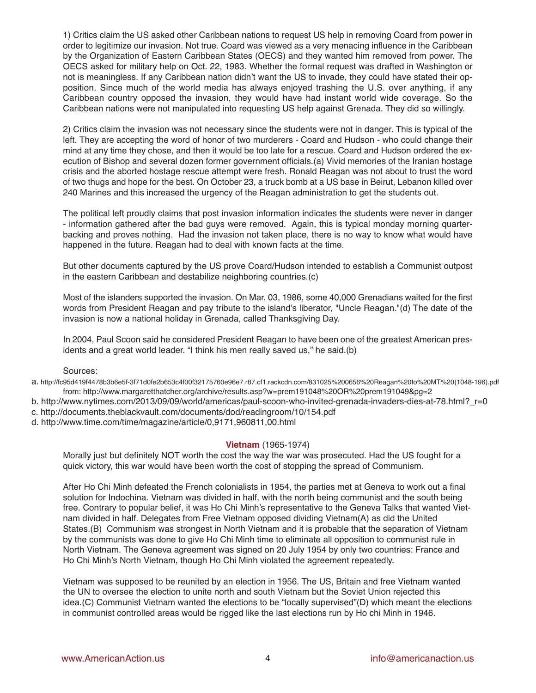1) Critics claim the US asked other Caribbean nations to request US help in removing Coard from power in order to legitimize our invasion. Not true. Coard was viewed as a very menacing influence in the Caribbean by the Organization of Eastern Caribbean States (OECS) and they wanted him removed from power. The OECS asked for military help on Oct. 22, 1983. Whether the formal request was drafted in Washington or not is meaningless. If any Caribbean nation didn't want the US to invade, they could have stated their opposition. Since much of the world media has always enjoyed trashing the U.S. over anything, if any Caribbean country opposed the invasion, they would have had instant world wide coverage. So the Caribbean nations were not manipulated into requesting US help against Grenada. They did so willingly.

2) Critics claim the invasion was not necessary since the students were not in danger. This is typical of the left. They are accepting the word of honor of two murderers - Coard and Hudson - who could change their mind at any time they chose, and then it would be too late for a rescue. Coard and Hudson ordered the execution of Bishop and several dozen former government officials.(a) Vivid memories of the Iranian hostage crisis and the aborted hostage rescue attempt were fresh. Ronald Reagan was not about to trust the word of two thugs and hope for the best. On October 23, a truck bomb at a US base in Beirut, Lebanon killed over 240 Marines and this increased the urgency of the Reagan administration to get the students out.

The political left proudly claims that post invasion information indicates the students were never in danger - information gathered after the bad guys were removed. Again, this is typical monday morning quarterbacking and proves nothing. Had the invasion not taken place, there is no way to know what would have happened in the future. Reagan had to deal with known facts at the time.

But other documents captured by the US prove Coard/Hudson intended to establish a Communist outpost in the eastern Caribbean and destabilize neighboring countries.(c)

Most of the islanders supported the invasion. On Mar. 03, 1986, some 40,000 Grenadians waited for the first words from President Reagan and pay tribute to the island's liberator, "Uncle Reagan."(d) The date of the invasion is now a national holiday in Grenada, called Thanksgiving Day.

In 2004, Paul Scoon said he considered President Reagan to have been one of the greatest American presidents and a great world leader. "I think his men really saved us," he said.(b)

Sources:

- a. http://fc95d419f4478b3b6e5f-3f71d0fe2b653c4f00f32175760e96e7.r87.cf1.rackcdn.com/831025%200656%20Reagan%20to%20MT%20(1048-196).pdf from: http://www.margaretthatcher.org/archive/results.asp?w=prem191048%20OR%20prem191049&pg=2
- b. http://www.nytimes.com/2013/09/09/world/americas/paul-scoon-who-invited-grenada-invaders-dies-at-78.html? r=0
- c. http://documents.theblackvault.com/documents/dod/readingroom/10/154.pdf
- d. http://www.time.com/time/magazine/article/0,9171,960811,00.html

# **Vietnam** (1965-1974)

Morally just but definitely NOT worth the cost the way the war was prosecuted. Had the US fought for a quick victory, this war would have been worth the cost of stopping the spread of Communism.

After Ho Chi Minh defeated the French colonialists in 1954, the parties met at Geneva to work out a final solution for Indochina. Vietnam was divided in half, with the north being communist and the south being free. Contrary to popular belief, it was Ho Chi Minh's representative to the Geneva Talks that wanted Vietnam divided in half. Delegates from Free Vietnam opposed dividing Vietnam(A) as did the United States.(B) Communism was strongest in North Vietnam and it is probable that the separation of Vietnam by the communists was done to give Ho Chi Minh time to eliminate all opposition to communist rule in North Vietnam. The Geneva agreement was signed on 20 July 1954 by only two countries: France and Ho Chi Minh's North Vietnam, though Ho Chi Minh violated the agreement repeatedly.

Vietnam was supposed to be reunited by an election in 1956. The US, Britain and free Vietnam wanted the UN to oversee the election to unite north and south Vietnam but the Soviet Union rejected this idea.(C) Communist Vietnam wanted the elections to be "locally supervised"(D) which meant the elections in communist controlled areas would be rigged like the last elections run by Ho chi Minh in 1946.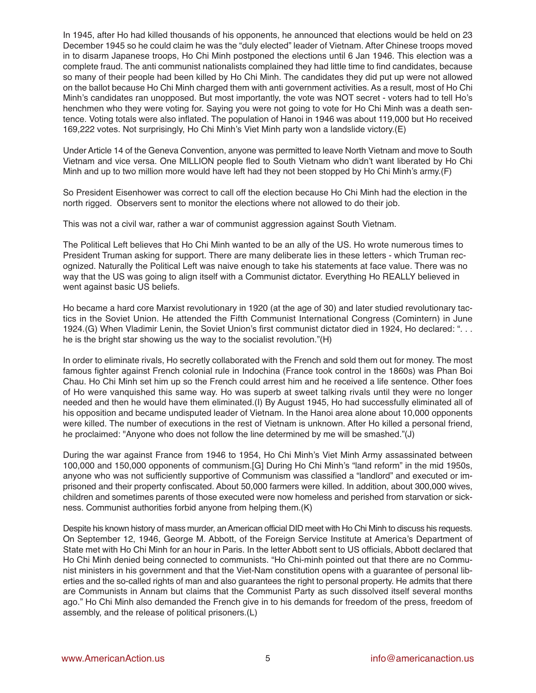In 1945, after Ho had killed thousands of his opponents, he announced that elections would be held on 23 December 1945 so he could claim he was the "duly elected" leader of Vietnam. After Chinese troops moved in to disarm Japanese troops, Ho Chi Minh postponed the elections until 6 Jan 1946. This election was a complete fraud. The anti communist nationalists complained they had little time to find candidates, because so many of their people had been killed by Ho Chi Minh. The candidates they did put up were not allowed on the ballot because Ho Chi Minh charged them with anti government activities. As a result, most of Ho Chi Minh's candidates ran unopposed. But most importantly, the vote was NOT secret - voters had to tell Ho's henchmen who they were voting for. Saying you were not going to vote for Ho Chi Minh was a death sentence. Voting totals were also inflated. The population of Hanoi in 1946 was about 119,000 but Ho received 169,222 votes. Not surprisingly, Ho Chi Minh's Viet Minh party won a landslide victory.(E)

Under Article 14 of the Geneva Convention, anyone was permitted to leave North Vietnam and move to South Vietnam and vice versa. One MILLION people fled to South Vietnam who didn't want liberated by Ho Chi Minh and up to two million more would have left had they not been stopped by Ho Chi Minh's army.(F)

So President Eisenhower was correct to call off the election because Ho Chi Minh had the election in the north rigged. Observers sent to monitor the elections where not allowed to do their job.

This was not a civil war, rather a war of communist aggression against South Vietnam.

The Political Left believes that Ho Chi Minh wanted to be an ally of the US. Ho wrote numerous times to President Truman asking for support. There are many deliberate lies in these letters - which Truman recognized. Naturally the Political Left was naive enough to take his statements at face value. There was no way that the US was going to align itself with a Communist dictator. Everything Ho REALLY believed in went against basic US beliefs.

Ho became a hard core Marxist revolutionary in 1920 (at the age of 30) and later studied revolutionary tactics in the Soviet Union. He attended the Fifth Communist International Congress (Comintern) in June 1924.(G) When Vladimir Lenin, the Soviet Union's first communist dictator died in 1924, Ho declared: ". . . he is the bright star showing us the way to the socialist revolution."(H)

In order to eliminate rivals, Ho secretly collaborated with the French and sold them out for money. The most famous fighter against French colonial rule in Indochina (France took control in the 1860s) was Phan Boi Chau. Ho Chi Minh set him up so the French could arrest him and he received a life sentence. Other foes of Ho were vanquished this same way. Ho was superb at sweet talking rivals until they were no longer needed and then he would have them eliminated.(I) By August 1945, Ho had successfully eliminated all of his opposition and became undisputed leader of Vietnam. In the Hanoi area alone about 10,000 opponents were killed. The number of executions in the rest of Vietnam is unknown. After Ho killed a personal friend, he proclaimed: "Anyone who does not follow the line determined by me will be smashed."(J)

During the war against France from 1946 to 1954, Ho Chi Minh's Viet Minh Army assassinated between 100,000 and 150,000 opponents of communism.[G] During Ho Chi Minh's "land reform" in the mid 1950s, anyone who was not sufficiently supportive of Communism was classified a "landlord" and executed or imprisoned and their property confiscated. About 50,000 farmers were killed. In addition, about 300,000 wives, children and sometimes parents of those executed were now homeless and perished from starvation or sickness. Communist authorities forbid anyone from helping them.(K)

Despite his known history of mass murder, an American official DID meet with Ho Chi Minh to discuss his requests. On September 12, 1946, George M. Abbott, of the Foreign Service Institute at America's Department of State met with Ho Chi Minh for an hour in Paris. In the letter Abbott sent to US officials, Abbott declared that Ho Chi Minh denied being connected to communists. "Ho Chi-minh pointed out that there are no Communist ministers in his government and that the Viet-Nam constitution opens with a guarantee of personal liberties and the so-called rights of man and also guarantees the right to personal property. He admits that there are Communists in Annam but claims that the Communist Party as such dissolved itself several months ago." Ho Chi Minh also demanded the French give in to his demands for freedom of the press, freedom of assembly, and the release of political prisoners.(L)